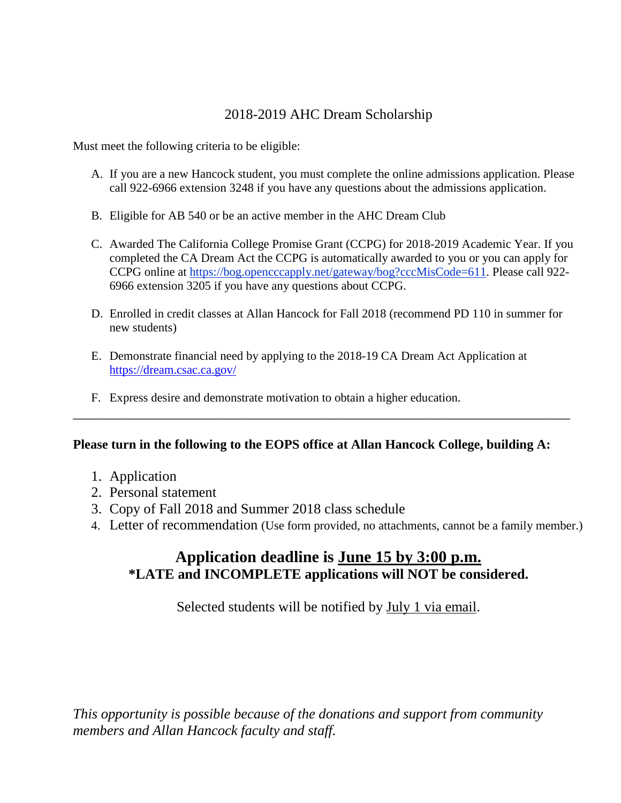### 2018-2019 AHC Dream Scholarship

Must meet the following criteria to be eligible:

- A. If you are a new Hancock student, you must complete the online admissions application. Please call 922-6966 extension 3248 if you have any questions about the admissions application.
- B. Eligible for AB 540 or be an active member in the AHC Dream Club
- C. Awarded The California College Promise Grant (CCPG) for 2018-2019 Academic Year. If you completed the CA Dream Act the CCPG is automatically awarded to you or you can apply for CCPG online at [https://bog.opencccapply.net/gateway/bog?cccMisCode=611.](https://bog.opencccapply.net/gateway/bog?cccMisCode=611) Please call 922- 6966 extension 3205 if you have any questions about CCPG.
- D. Enrolled in credit classes at Allan Hancock for Fall 2018 (recommend PD 110 in summer for new students)
- E. Demonstrate financial need by applying to the 2018-19 CA Dream Act Application at <https://dream.csac.ca.gov/>
- F. Express desire and demonstrate motivation to obtain a higher education.

### **Please turn in the following to the EOPS office at Allan Hancock College, building A:**

\_\_\_\_\_\_\_\_\_\_\_\_\_\_\_\_\_\_\_\_\_\_\_\_\_\_\_\_\_\_\_\_\_\_\_\_\_\_\_\_\_\_\_\_\_\_\_\_\_\_\_\_\_\_\_\_\_\_\_\_\_\_\_\_\_\_\_\_\_\_

- 1. Application
- 2. Personal statement
- 3. Copy of Fall 2018 and Summer 2018 class schedule
- 4. Letter of recommendation (Use form provided, no attachments, cannot be a family member.)

## **Application deadline is June 15 by 3:00 p.m. \*LATE and INCOMPLETE applications will NOT be considered.**

Selected students will be notified by July 1 via email.

*This opportunity is possible because of the donations and support from community members and Allan Hancock faculty and staff.*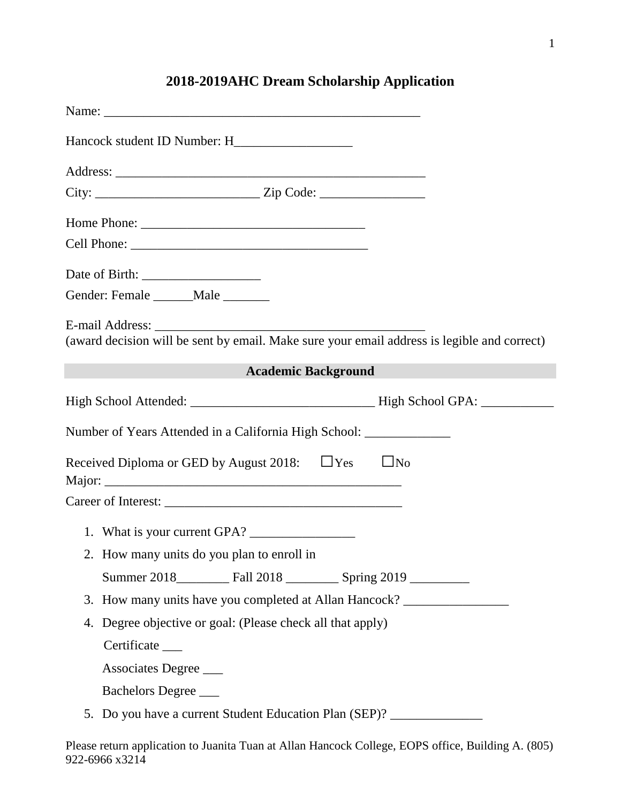| Gender: Female ______Male ______                                                                   |
|----------------------------------------------------------------------------------------------------|
| (award decision will be sent by email. Make sure your email address is legible and correct)        |
| and the control of the control of the<br><b>Academic Background</b>                                |
|                                                                                                    |
| Number of Years Attended in a California High School: _______________                              |
| Received Diploma or GED by August 2018: $\Box$ Yes<br>$\Box$ No                                    |
|                                                                                                    |
| 1. What is your current GPA?                                                                       |
| 2. How many units do you plan to enroll in                                                         |
|                                                                                                    |
| 3. How many units have you completed at Allan Hancock? _________________________                   |
| Degree objective or goal: (Please check all that apply)<br>4.                                      |
| Certificate ____                                                                                   |
| Associates Degree                                                                                  |
| Bachelors Degree                                                                                   |
| 5. Do you have a current Student Education Plan (SEP)? _________________________                   |
| Please return application to Juanita Tuan at Allan Hancock College, EOPS office, Building A. (805) |

922-6966 x3214

# **2018-2019AHC Dream Scholarship Application**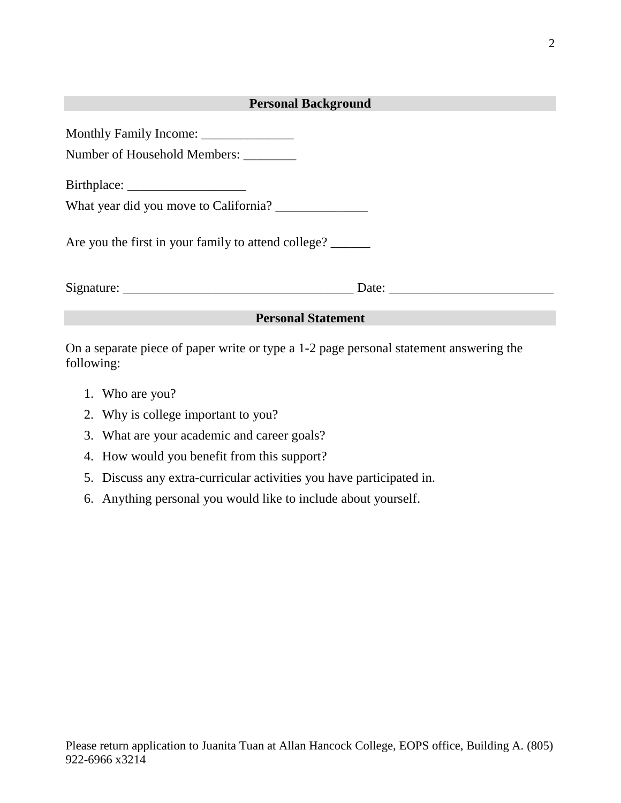| <b>Personal Background</b>                                                                                                                      |  |  |  |  |
|-------------------------------------------------------------------------------------------------------------------------------------------------|--|--|--|--|
|                                                                                                                                                 |  |  |  |  |
| Number of Household Members: ________                                                                                                           |  |  |  |  |
|                                                                                                                                                 |  |  |  |  |
|                                                                                                                                                 |  |  |  |  |
| Are you the first in your family to attend college?                                                                                             |  |  |  |  |
|                                                                                                                                                 |  |  |  |  |
| <b>Personal Statement</b>                                                                                                                       |  |  |  |  |
| $\bullet$ and the set of the set of $\bullet$ and $\bullet$ and $\bullet$ and $\bullet$ and $\bullet$ and $\bullet$ and $\bullet$ and $\bullet$ |  |  |  |  |

On a separate piece of paper write or type a 1-2 page personal statement answering the following:

- 1. Who are you?
- 2. Why is college important to you?
- 3. What are your academic and career goals?
- 4. How would you benefit from this support?
- 5. Discuss any extra-curricular activities you have participated in.
- 6. Anything personal you would like to include about yourself.